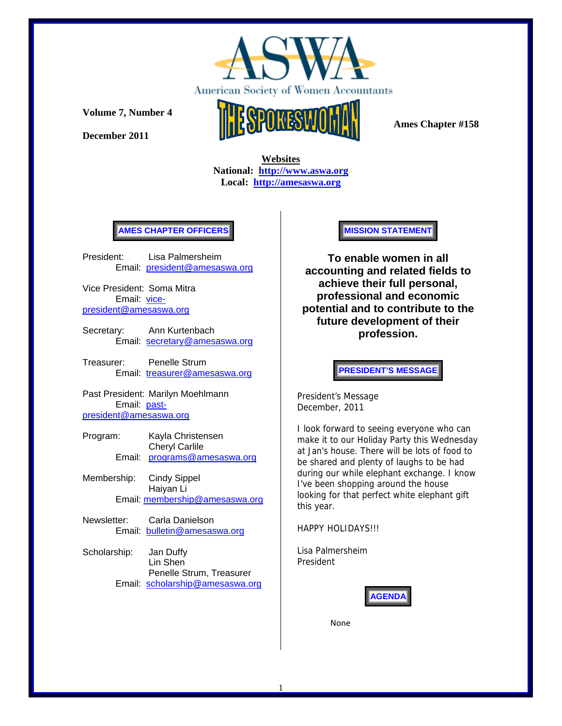

**December 2011** 



 **Ames Chapter #158** 

 **Websites National: http://www.aswa.org Local: http://amesaswa.org**

# **AMES CHAPTER OFFICERS**

President: Lisa Palmersheim Email: president@amesaswa.org

Vice President: Soma Mitra Email: vicepresident@amesaswa.org

Secretary: Ann Kurtenbach Email: secretary@amesaswa.org

Treasurer: Penelle Strum Email: treasurer@amesaswa.org

Past President: Marilyn Moehlmann Email: pastpresident@amesaswa.org

- Program: Kayla Christensen Cheryl Carlile Email: programs@amesaswa.org
- Membership: Cindy Sippel Haiyan Li Email: membership@amesaswa.org
- Newsletter: Carla Danielson Email: bulletin@amesaswa.org
- Scholarship: Jan Duffy Lin Shen Penelle Strum, Treasurer Email: scholarship@amesaswa.org

**MISSION STATEMENT** 

**To enable women in all accounting and related fields to achieve their full personal, professional and economic potential and to contribute to the future development of their profession.**

**PRESIDENT'S MESSAGE** 

President's Message December, 2011

I look forward to seeing everyone who can make it to our Holiday Party this Wednesday at Jan's house. There will be lots of food to be shared and plenty of laughs to be had during our while elephant exchange. I know I've been shopping around the house looking for that perfect white elephant gift this year.

HAPPY HOLIDAYS!!!

Lisa Palmersheim President



None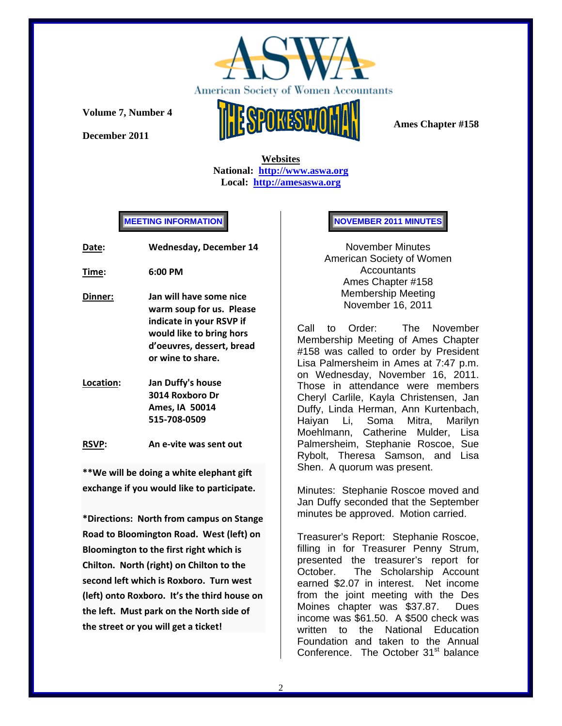

**December 2011** 



 **Ames Chapter #158** 

 **Websites National: http://www.aswa.org Local: http://amesaswa.org**

**MEETING INFORMATION** 

| Date:     | <b>Wednesday, December 14</b>                                                                                                                                 |  |
|-----------|---------------------------------------------------------------------------------------------------------------------------------------------------------------|--|
| Time:     | 6:00 PM                                                                                                                                                       |  |
| Dinner:   | Jan will have some nice<br>warm soup for us. Please<br>indicate in your RSVP if<br>would like to bring hors<br>d'oeuvres, dessert, bread<br>or wine to share. |  |
| Location: | Jan Duffy's house<br>3014 Roxboro Dr<br>Ames. IA 50014                                                                                                        |  |

**RSVP: An e‐vite was sent out**

**515‐708‐0509** 

**\*\*We will be doing a white elephant gift exchange if you would like to participate.**

**\*Directions: North from campus on Stange Road to Bloomington Road. West (left) on Bloomington to the first right which is Chilton. North (right) on Chilton to the second left which is Roxboro. Turn west (left) onto Roxboro. It's the third house on the left. Must park on the North side of the street or you will get a ticket!**

# **NOVEMBER 2011 MINUTES**

November Minutes American Society of Women Accountants Ames Chapter #158 Membership Meeting November 16, 2011

Call to Order: The November Membership Meeting of Ames Chapter #158 was called to order by President Lisa Palmersheim in Ames at 7:47 p.m. on Wednesday, November 16, 2011. Those in attendance were members Cheryl Carlile, Kayla Christensen, Jan Duffy, Linda Herman, Ann Kurtenbach, Haiyan Li, Soma Mitra, Marilyn Moehlmann, Catherine Mulder, Lisa Palmersheim, Stephanie Roscoe, Sue Rybolt, Theresa Samson, and Lisa Shen. A quorum was present.

Minutes: Stephanie Roscoe moved and Jan Duffy seconded that the September minutes be approved. Motion carried.

Treasurer's Report: Stephanie Roscoe, filling in for Treasurer Penny Strum, presented the treasurer's report for October. The Scholarship Account earned \$2.07 in interest. Net income from the joint meeting with the Des Moines chapter was \$37.87. Dues income was \$61.50. A \$500 check was written to the National Education Foundation and taken to the Annual Conference. The October 31<sup>st</sup> balance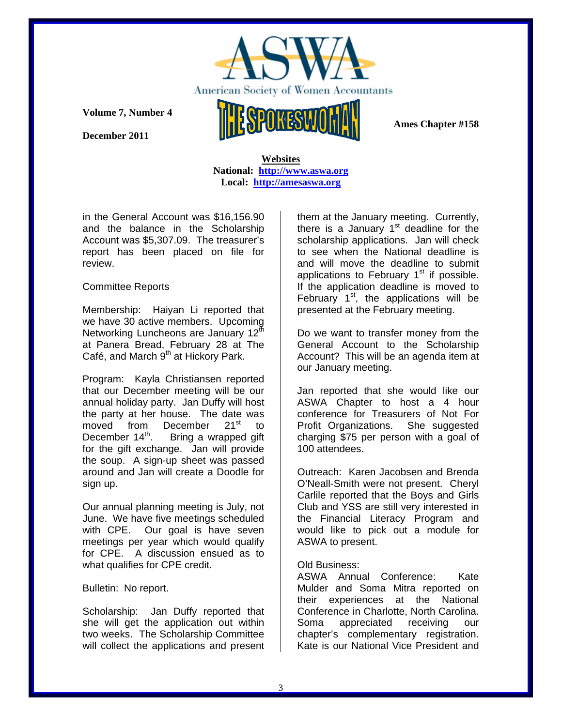

**December 2011** 

 **Ames Chapter #158** 

 **Websites National: http://www.aswa.org Local: http://amesaswa.org**

in the General Account was \$16,156.90 and the balance in the Scholarship Account was \$5,307.09. The treasurer's report has been placed on file for review.

# Committee Reports

Membership: Haiyan Li reported that we have 30 active members. Upcoming Networking Luncheons are January 12<sup>th</sup> at Panera Bread, February 28 at The Café, and March  $9<sup>th</sup>$  at Hickory Park.

Program: Kayla Christiansen reported that our December meeting will be our annual holiday party. Jan Duffy will host the party at her house. The date was<br>moved from December  $21^{st}$  to moved from December 21<sup>st</sup> to<br>December 14<sup>th</sup>. Bring a wrapped\_gift Bring a wrapped gift. for the gift exchange. Jan will provide the soup. A sign-up sheet was passed around and Jan will create a Doodle for sign up.

Our annual planning meeting is July, not June. We have five meetings scheduled with CPE. Our goal is have seven meetings per year which would qualify for CPE. A discussion ensued as to what qualifies for CPE credit.

## Bulletin: No report.

Scholarship: Jan Duffy reported that she will get the application out within two weeks. The Scholarship Committee will collect the applications and present them at the January meeting. Currently, there is a January  $1<sup>st</sup>$  deadline for the scholarship applications. Jan will check to see when the National deadline is and will move the deadline to submit applications to February  $1<sup>st</sup>$  if possible. If the application deadline is moved to February  $1<sup>st</sup>$ , the applications will be presented at the February meeting.

Do we want to transfer money from the General Account to the Scholarship Account? This will be an agenda item at our January meeting.

Jan reported that she would like our ASWA Chapter to host a 4 hour conference for Treasurers of Not For Profit Organizations. She suggested charging \$75 per person with a goal of 100 attendees.

Outreach: Karen Jacobsen and Brenda O'Neall-Smith were not present. Cheryl Carlile reported that the Boys and Girls Club and YSS are still very interested in the Financial Literacy Program and would like to pick out a module for ASWA to present.

## Old Business:

ASWA Annual Conference: Kate Mulder and Soma Mitra reported on their experiences at the National Conference in Charlotte, North Carolina. Soma appreciated receiving our chapter's complementary registration. Kate is our National Vice President and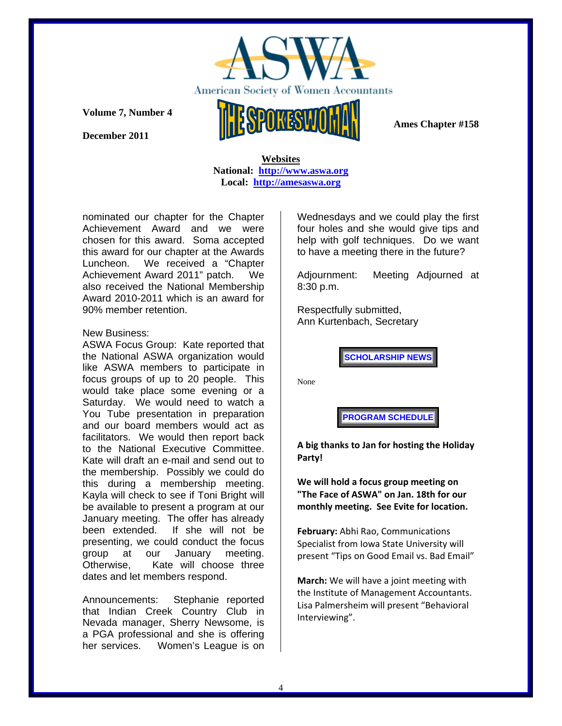

**December 2011** 

 **Ames Chapter #158** 

#### **Websites National: http://www.aswa.org Local: http://amesaswa.org**

nominated our chapter for the Chapter Achievement Award and we were chosen for this award. Soma accepted this award for our chapter at the Awards Luncheon. We received a "Chapter Achievement Award 2011" patch. We also received the National Membership Award 2010-2011 which is an award for 90% member retention.

#### New Business:

ASWA Focus Group: Kate reported that the National ASWA organization would like ASWA members to participate in focus groups of up to 20 people. This would take place some evening or a Saturday. We would need to watch a You Tube presentation in preparation and our board members would act as facilitators. We would then report back to the National Executive Committee. Kate will draft an e-mail and send out to the membership. Possibly we could do this during a membership meeting. Kayla will check to see if Toni Bright will be available to present a program at our January meeting. The offer has already been extended. If she will not be presenting, we could conduct the focus group at our January meeting. Otherwise, Kate will choose three dates and let members respond.

Announcements: Stephanie reported that Indian Creek Country Club in Nevada manager, Sherry Newsome, is a PGA professional and she is offering her services. Women's League is on Wednesdays and we could play the first four holes and she would give tips and help with golf techniques. Do we want to have a meeting there in the future?

Adjournment: Meeting Adjourned at 8:30 p.m.

Respectfully submitted, Ann Kurtenbach, Secretary

**SCHOLARSHIP NEWS** 

None

**PROGRAM SCHEDULE** 

**A big thanks to Jan for hosting the Holiday Party!**

**We will hold a focus group meeting on "The Face of ASWA" on Jan. 18th for our monthly meeting. See Evite for location.**

**February:** Abhi Rao, Communications Specialist from Iowa State University will present "Tips on Good Email vs. Bad Email"

**March:** We will have a joint meeting with the Institute of Management Accountants. Lisa Palmersheim will present "Behavioral Interviewing".